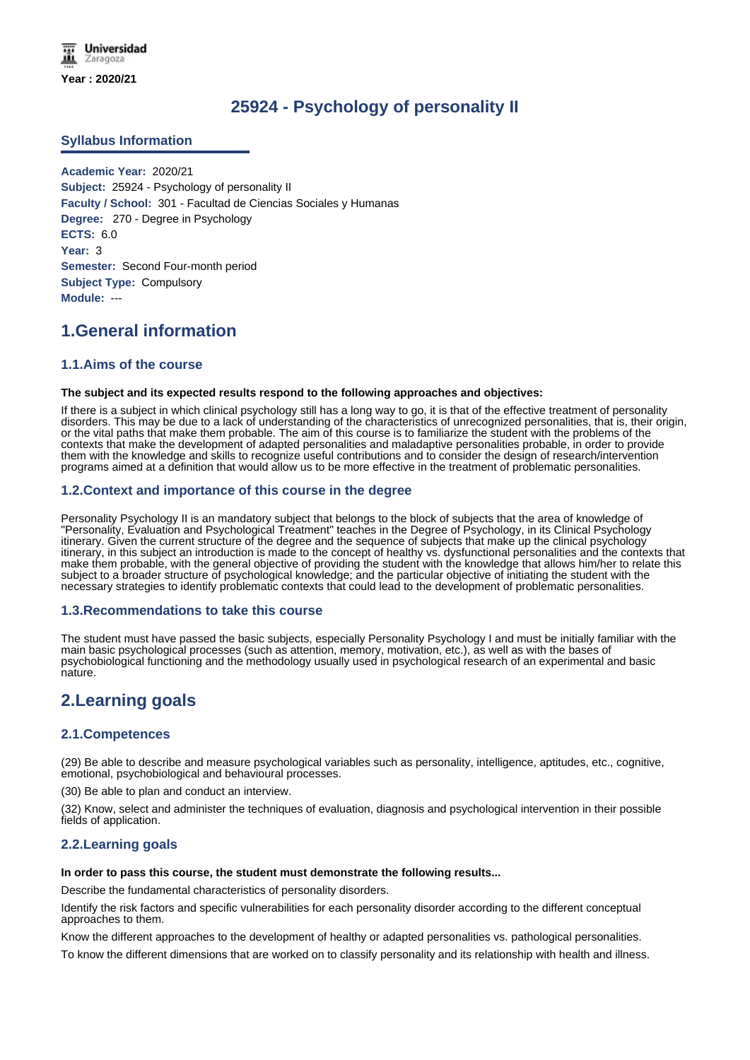**Universidad** Zaragoza **Year : 2020/21**

# **25924 - Psychology of personality II**

## **Syllabus Information**

**Academic Year:** 2020/21 **Subject:** 25924 - Psychology of personality II **Faculty / School:** 301 - Facultad de Ciencias Sociales y Humanas **Degree:** 270 - Degree in Psychology **ECTS:** 6.0 **Year:** 3 **Semester:** Second Four-month period **Subject Type:** Compulsory **Module:** ---

# **1.General information**

## **1.1.Aims of the course**

#### **The subject and its expected results respond to the following approaches and objectives:**

If there is a subject in which clinical psychology still has a long way to go, it is that of the effective treatment of personality disorders. This may be due to a lack of understanding of the characteristics of unrecognized personalities, that is, their origin, or the vital paths that make them probable. The aim of this course is to familiarize the student with the problems of the contexts that make the development of adapted personalities and maladaptive personalities probable, in order to provide them with the knowledge and skills to recognize useful contributions and to consider the design of research/intervention programs aimed at a definition that would allow us to be more effective in the treatment of problematic personalities.

## **1.2.Context and importance of this course in the degree**

Personality Psychology II is an mandatory subject that belongs to the block of subjects that the area of knowledge of "Personality, Evaluation and Psychological Treatment" teaches in the Degree of Psychology, in its Clinical Psychology itinerary. Given the current structure of the degree and the sequence of subjects that make up the clinical psychology itinerary, in this subject an introduction is made to the concept of healthy vs. dysfunctional personalities and the contexts that make them probable, with the general objective of providing the student with the knowledge that allows him/her to relate this subject to a broader structure of psychological knowledge; and the particular objective of initiating the student with the necessary strategies to identify problematic contexts that could lead to the development of problematic personalities.

### **1.3.Recommendations to take this course**

The student must have passed the basic subjects, especially Personality Psychology I and must be initially familiar with the main basic psychological processes (such as attention, memory, motivation, etc.), as well as with the bases of psychobiological functioning and the methodology usually used in psychological research of an experimental and basic nature.

## **2.Learning goals**

## **2.1.Competences**

(29) Be able to describe and measure psychological variables such as personality, intelligence, aptitudes, etc., cognitive, emotional, psychobiological and behavioural processes.

(30) Be able to plan and conduct an interview.

(32) Know, select and administer the techniques of evaluation, diagnosis and psychological intervention in their possible fields of application.

## **2.2.Learning goals**

#### **In order to pass this course, the student must demonstrate the following results...**

Describe the fundamental characteristics of personality disorders.

Identify the risk factors and specific vulnerabilities for each personality disorder according to the different conceptual approaches to them.

Know the different approaches to the development of healthy or adapted personalities vs. pathological personalities.

To know the different dimensions that are worked on to classify personality and its relationship with health and illness.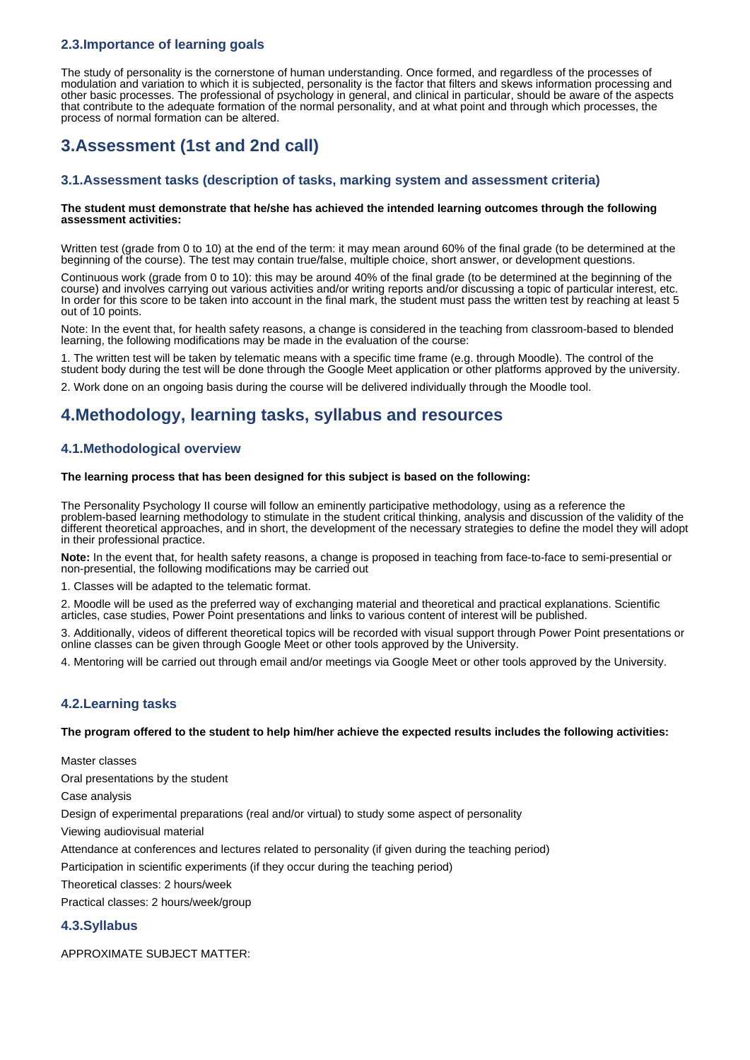## **2.3.Importance of learning goals**

The study of personality is the cornerstone of human understanding. Once formed, and regardless of the processes of modulation and variation to which it is subjected, personality is the factor that filters and skews information processing and other basic processes. The professional of psychology in general, and clinical in particular, should be aware of the aspects that contribute to the adequate formation of the normal personality, and at what point and through which processes, the process of normal formation can be altered.

# **3.Assessment (1st and 2nd call)**

## **3.1.Assessment tasks (description of tasks, marking system and assessment criteria)**

#### **The student must demonstrate that he/she has achieved the intended learning outcomes through the following assessment activities:**

Written test (grade from 0 to 10) at the end of the term: it may mean around 60% of the final grade (to be determined at the beginning of the course). The test may contain true/false, multiple choice, short answer, or development questions.

Continuous work (grade from 0 to 10): this may be around 40% of the final grade (to be determined at the beginning of the course) and involves carrying out various activities and/or writing reports and/or discussing a topic of particular interest, etc. In order for this score to be taken into account in the final mark, the student must pass the written test by reaching at least 5 out of 10 points.

Note: In the event that, for health safety reasons, a change is considered in the teaching from classroom-based to blended learning, the following modifications may be made in the evaluation of the course:

1. The written test will be taken by telematic means with a specific time frame (e.g. through Moodle). The control of the student body during the test will be done through the Google Meet application or other platforms approved by the university.

2. Work done on an ongoing basis during the course will be delivered individually through the Moodle tool.

# **4.Methodology, learning tasks, syllabus and resources**

## **4.1.Methodological overview**

#### **The learning process that has been designed for this subject is based on the following:**

The Personality Psychology II course will follow an eminently participative methodology, using as a reference the problem-based learning methodology to stimulate in the student critical thinking, analysis and discussion of the validity of the different theoretical approaches, and in short, the development of the necessary strategies to define the model they will adopt in their professional practice.

**Note:** In the event that, for health safety reasons, a change is proposed in teaching from face-to-face to semi-presential or non-presential, the following modifications may be carried out

1. Classes will be adapted to the telematic format.

2. Moodle will be used as the preferred way of exchanging material and theoretical and practical explanations. Scientific articles, case studies, Power Point presentations and links to various content of interest will be published.

3. Additionally, videos of different theoretical topics will be recorded with visual support through Power Point presentations or online classes can be given through Google Meet or other tools approved by the University.

4. Mentoring will be carried out through email and/or meetings via Google Meet or other tools approved by the University.

## **4.2.Learning tasks**

**The program offered to the student to help him/her achieve the expected results includes the following activities:**

Master classes

Oral presentations by the student

Case analysis

Design of experimental preparations (real and/or virtual) to study some aspect of personality

Viewing audiovisual material

Attendance at conferences and lectures related to personality (if given during the teaching period)

Participation in scientific experiments (if they occur during the teaching period)

Theoretical classes: 2 hours/week

Practical classes: 2 hours/week/group

## **4.3.Syllabus**

APPROXIMATE SUBJECT MATTER: